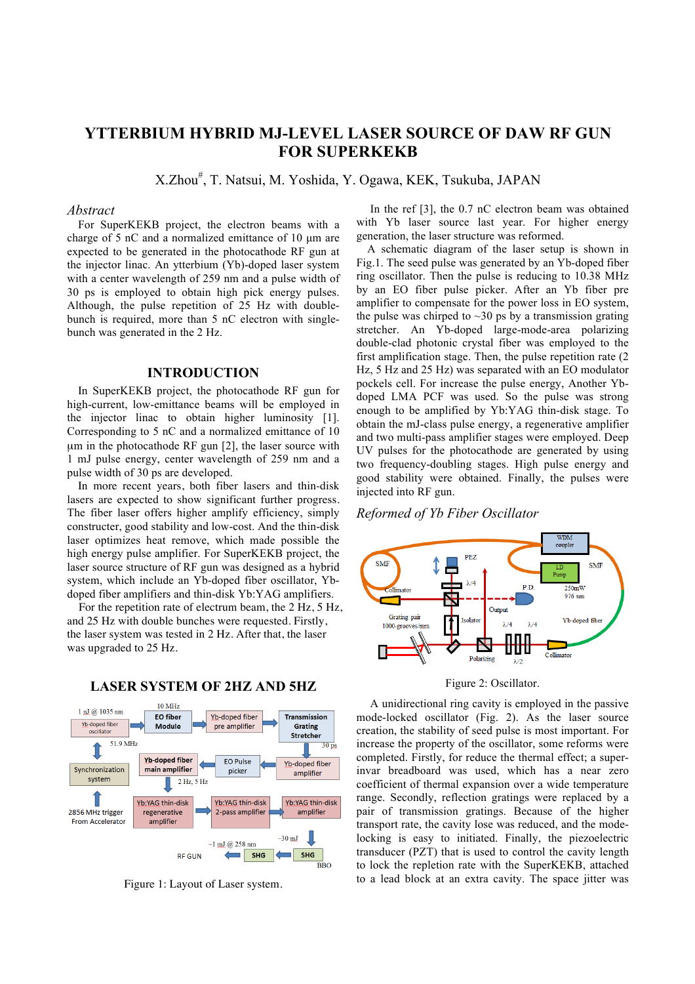# **YTTERBIUM HYBRID MJ-LEVEL LASER SOURCE OF DAW RF GUN FOR SUPERKEKB**

X.Zhou# , T. Natsui, M. Yoshida, Y. Ogawa, KEK, Tsukuba, JAPAN

#### *Abstract*

For SuperKEKB project, the electron beams with a charge of 5 nC and a normalized emittance of 10 µm are expected to be generated in the photocathode RF gun at the injector linac. An ytterbium (Yb)-doped laser system with a center wavelength of 259 nm and a pulse width of 30 ps is employed to obtain high pick energy pulses. Although, the pulse repetition of 25 Hz with doublebunch is required, more than 5 nC electron with singlebunch was generated in the 2 Hz.

## **INTRODUCTION**

In SuperKEKB project, the photocathode RF gun for high-current, low-emittance beams will be employed in the injector linac to obtain higher luminosity [1]. Corresponding to 5 nC and a normalized emittance of 10 um in the photocathode RF gun [2], the laser source with 1 mJ pulse energy, center wavelength of 259 nm and a pulse width of 30 ps are developed.

In more recent years, both fiber lasers and thin-disk lasers are expected to show significant further progress. The fiber laser offers higher amplify efficiency, simply constructer, good stability and low-cost. And the thin-disk laser optimizes heat remove, which made possible the high energy pulse amplifier. For SuperKEKB project, the laser source structure of RF gun was designed as a hybrid system, which include an Yb-doped fiber oscillator, Ybdoped fiber amplifiers and thin-disk Yb:YAG amplifiers.

For the repetition rate of electrum beam, the 2 Hz, 5 Hz, and 25 Hz with double bunches were requested. Firstly, the laser system was tested in 2 Hz. After that, the laser was upgraded to 25 Hz.



# **LASER SYSTEM OF 2HZ AND 5HZ**

Figure 1: Layout of Laser system.

In the ref [3], the 0.7 nC electron beam was obtained with Yb laser source last year. For higher energy generation, the laser structure was reformed.

A schematic diagram of the laser setup is shown in Fig.1. The seed pulse was generated by an Yb-doped fiber ring oscillator. Then the pulse is reducing to 10.38 MHz by an EO fiber pulse picker. After an Yb fiber pre amplifier to compensate for the power loss in EO system, the pulse was chirped to  $\sim$ 30 ps by a transmission grating stretcher. An Yb-doped large-mode-area polarizing double-clad photonic crystal fiber was employed to the first amplification stage. Then, the pulse repetition rate (2 Hz, 5 Hz and 25 Hz) was separated with an EO modulator pockels cell. For increase the pulse energy, Another Ybdoped LMA PCF was used. So the pulse was strong enough to be amplified by Yb:YAG thin-disk stage. To obtain the mJ-class pulse energy, a regenerative amplifier and two multi-pass amplifier stages were employed. Deep UV pulses for the photocathode are generated by using two frequency-doubling stages. High pulse energy and good stability were obtained. Finally, the pulses were injected into RF gun.

#### *Reformed of Yb Fiber Oscillator*



Figure 2: Oscillator.

A unidirectional ring cavity is employed in the passive mode-locked oscillator (Fig. 2). As the laser source creation, the stability of seed pulse is most important. For increase the property of the oscillator, some reforms were completed. Firstly, for reduce the thermal effect; a superinvar breadboard was used, which has a near zero coefficient of thermal expansion over a wide temperature range. Secondly, reflection gratings were replaced by a pair of transmission gratings. Because of the higher transport rate, the cavity lose was reduced, and the modelocking is easy to initiated. Finally, the piezoelectric transducer (PZT) that is used to control the cavity length to lock the repletion rate with the SuperKEKB, attached to a lead block at an extra cavity. The space jitter was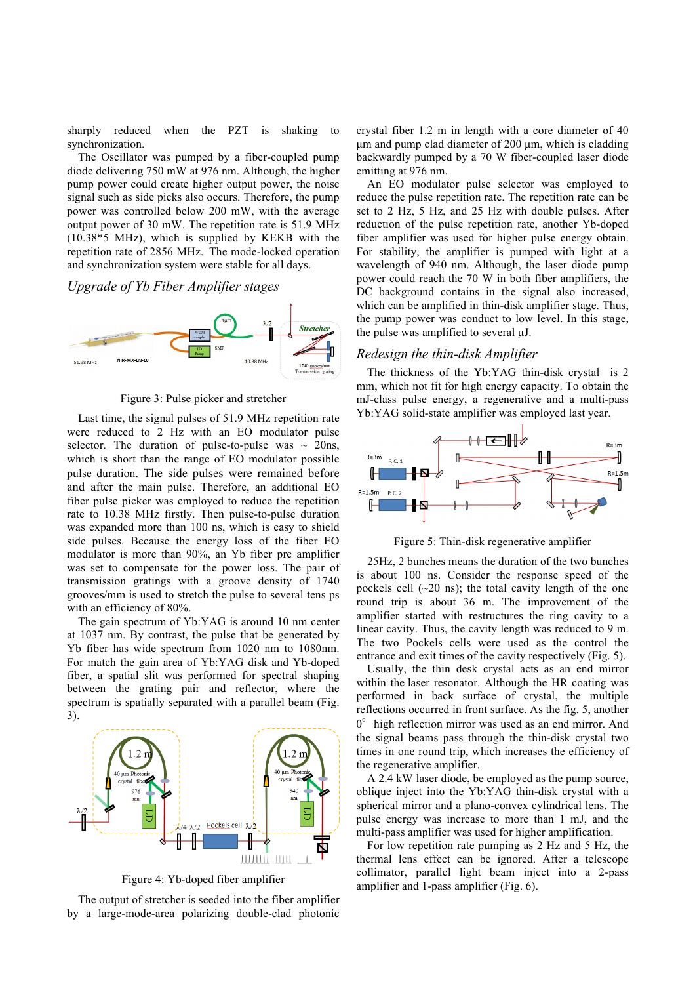sharply reduced when the PZT is shaking to synchronization.

The Oscillator was pumped by a fiber-coupled pump diode delivering 750 mW at 976 nm. Although, the higher pump power could create higher output power, the noise signal such as side picks also occurs. Therefore, the pump power was controlled below 200 mW, with the average output power of 30 mW. The repetition rate is 51.9 MHz (10.38\*5 MHz), which is supplied by KEKB with the repetition rate of 2856 MHz. The mode-locked operation and synchronization system were stable for all days.

*Upgrade of Yb Fiber Amplifier stages* 



Figure 3: Pulse picker and stretcher

Last time, the signal pulses of 51.9 MHz repetition rate were reduced to 2 Hz with an EO modulator pulse selector. The duration of pulse-to-pulse was  $\sim$  20ns, which is short than the range of EO modulator possible pulse duration. The side pulses were remained before and after the main pulse. Therefore, an additional EO fiber pulse picker was employed to reduce the repetition rate to 10.38 MHz firstly. Then pulse-to-pulse duration was expanded more than 100 ns, which is easy to shield side pulses. Because the energy loss of the fiber EO modulator is more than 90%, an Yb fiber pre amplifier was set to compensate for the power loss. The pair of transmission gratings with a groove density of 1740 grooves/mm is used to stretch the pulse to several tens ps with an efficiency of 80%.

The gain spectrum of Yb:YAG is around 10 nm center at 1037 nm. By contrast, the pulse that be generated by Yb fiber has wide spectrum from 1020 nm to 1080nm. For match the gain area of Yb:YAG disk and Yb-doped fiber, a spatial slit was performed for spectral shaping between the grating pair and reflector, where the spectrum is spatially separated with a parallel beam (Fig. 3).



Figure 4: Yb-doped fiber amplifier

The output of stretcher is seeded into the fiber amplifier by a large-mode-area polarizing double-clad photonic crystal fiber 1.2 m in length with a core diameter of 40  $\mu$ m and pump clad diameter of 200  $\mu$ m, which is cladding backwardly pumped by a 70 W fiber-coupled laser diode emitting at 976 nm.

An EO modulator pulse selector was employed to reduce the pulse repetition rate. The repetition rate can be set to 2 Hz, 5 Hz, and 25 Hz with double pulses. After reduction of the pulse repetition rate, another Yb-doped fiber amplifier was used for higher pulse energy obtain. For stability, the amplifier is pumped with light at a wavelength of 940 nm. Although, the laser diode pump power could reach the 70 W in both fiber amplifiers, the DC background contains in the signal also increased. which can be amplified in thin-disk amplifier stage. Thus, the pump power was conduct to low level. In this stage, the pulse was amplified to several µJ.

#### *Redesign the thin-disk Amplifier*

The thickness of the Yb:YAG thin-disk crystal is 2 mm, which not fit for high energy capacity. To obtain the mJ-class pulse energy, a regenerative and a multi-pass Yb:YAG solid-state amplifier was employed last year.



Figure 5: Thin-disk regenerative amplifier

25Hz, 2 bunches means the duration of the two bunches is about 100 ns. Consider the response speed of the pockels cell  $(-20 \text{ ns})$ ; the total cavity length of the one round trip is about 36 m. The improvement of the amplifier started with restructures the ring cavity to a linear cavity. Thus, the cavity length was reduced to 9 m. The two Pockels cells were used as the control the entrance and exit times of the cavity respectively (Fig. 5).

Usually, the thin desk crystal acts as an end mirror within the laser resonator. Although the HR coating was performed in back surface of crystal, the multiple reflections occurred in front surface. As the fig. 5, another  $0^{\circ}$  high reflection mirror was used as an end mirror. And the signal beams pass through the thin-disk crystal two times in one round trip, which increases the efficiency of the regenerative amplifier.

A 2.4 kW laser diode, be employed as the pump source, oblique inject into the Yb:YAG thin-disk crystal with a spherical mirror and a plano-convex cylindrical lens. The pulse energy was increase to more than 1 mJ, and the multi-pass amplifier was used for higher amplification.

For low repetition rate pumping as 2 Hz and 5 Hz, the thermal lens effect can be ignored. After a telescope collimator, parallel light beam inject into a 2-pass amplifier and 1-pass amplifier (Fig. 6).